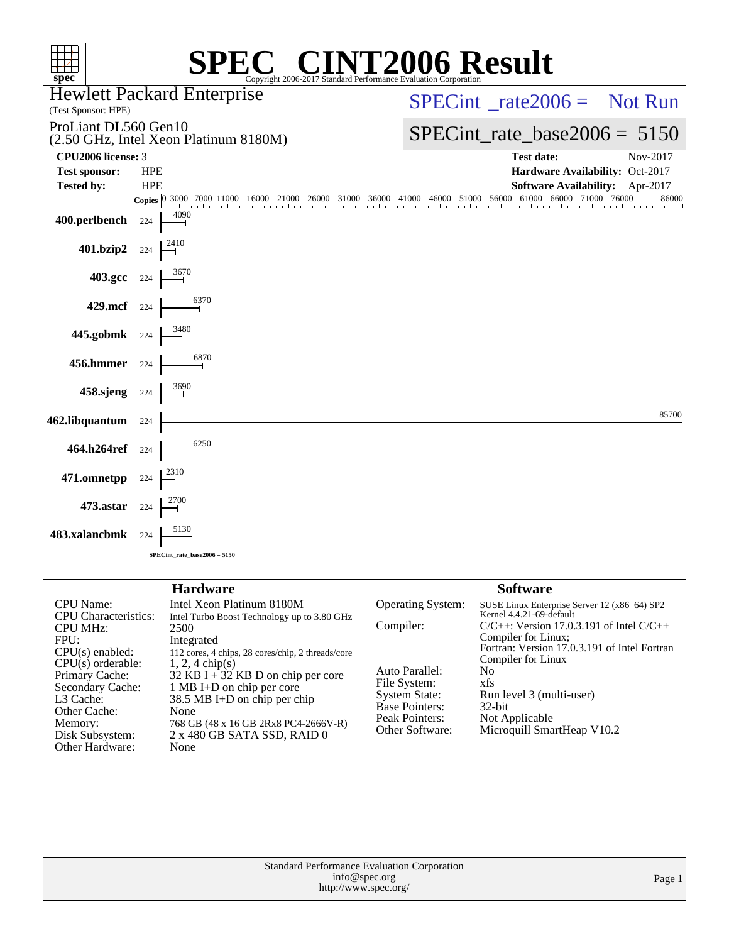| <b>NO CINT2006 Result</b><br>$spec^*$<br>Copyright 2006-2017 Standard Performance Evaluation Cornoration |                          |                    |                                                                          |           |                                               |                                                                          |                |  |
|----------------------------------------------------------------------------------------------------------|--------------------------|--------------------|--------------------------------------------------------------------------|-----------|-----------------------------------------------|--------------------------------------------------------------------------|----------------|--|
| <b>Hewlett Packard Enterprise</b><br>(Test Sponsor: HPE)                                                 |                          |                    |                                                                          |           | $SPECint^*_{\!\_}rate2006 =$ Not Run          |                                                                          |                |  |
| ProLiant DL560 Gen10                                                                                     |                          |                    |                                                                          |           | $SPECint_rate_base2006 = 5150$                |                                                                          |                |  |
| CPU2006 license: 3                                                                                       |                          |                    | (2.50 GHz, Intel Xeon Platinum 8180M)                                    |           | <b>Test date:</b>                             | Nov-2017                                                                 |                |  |
| <b>Test sponsor:</b><br><b>Tested by:</b>                                                                | <b>HPE</b><br><b>HPE</b> |                    |                                                                          |           |                                               | Hardware Availability: Oct-2017<br><b>Software Availability:</b>         | Apr-2017       |  |
|                                                                                                          |                          | Copies $ 0, 3000 $ | 7000 11000 16000<br>21000<br>26000                                       |           | 31000 36000 41000 46000 51000                 | 56000<br>61000<br>66000<br>71000                                         | 76000<br>86000 |  |
| 400.perlbench                                                                                            | 224                      | 4090               |                                                                          |           |                                               |                                                                          |                |  |
| 401.bzip2                                                                                                | 224                      | 2410               |                                                                          |           |                                               |                                                                          |                |  |
| 403.gcc                                                                                                  | 224                      | 367t               |                                                                          |           |                                               |                                                                          |                |  |
| 429.mcf                                                                                                  | 224                      |                    | 6370                                                                     |           |                                               |                                                                          |                |  |
| 445.gobmk                                                                                                | 224                      | 3480               |                                                                          |           |                                               |                                                                          |                |  |
| 456.hmmer                                                                                                | 224                      |                    | 6870                                                                     |           |                                               |                                                                          |                |  |
| 458.sjeng                                                                                                | 224                      | 3690               |                                                                          |           |                                               |                                                                          |                |  |
| 462.libquantum                                                                                           | 224                      |                    |                                                                          |           |                                               |                                                                          | 85700          |  |
| 464.h264ref                                                                                              | 224                      |                    | 6250                                                                     |           |                                               |                                                                          |                |  |
| 471.omnetpp                                                                                              | 224                      | 2310               |                                                                          |           |                                               |                                                                          |                |  |
| 473.astar                                                                                                | 224                      | 2700               |                                                                          |           |                                               |                                                                          |                |  |
| 483.xalancbmk                                                                                            | 224                      | 5130               |                                                                          |           |                                               |                                                                          |                |  |
|                                                                                                          |                          |                    | $SPECint_rate_base2006 = 5150$                                           |           |                                               |                                                                          |                |  |
|                                                                                                          |                          |                    | <b>Hardware</b>                                                          |           |                                               | <b>Software</b>                                                          |                |  |
| CPU Name:<br><b>CPU</b> Characteristics:                                                                 |                          |                    | Intel Xeon Platinum 8180M<br>Intel Turbo Boost Technology up to 3.80 GHz |           | <b>Operating System:</b>                      | SUSE Linux Enterprise Server 12 (x86_64) SP2<br>Kernel 4.4.21-69-default |                |  |
| <b>CPU MHz:</b><br>FPU:                                                                                  |                          | 2500               | Integrated                                                               | Compiler: |                                               | $C/C++$ : Version 17.0.3.191 of Intel $C/C++$<br>Compiler for Linux;     |                |  |
| $CPU(s)$ enabled:                                                                                        |                          |                    | 112 cores, 4 chips, 28 cores/chip, 2 threads/core                        |           |                                               | Fortran: Version 17.0.3.191 of Intel Fortran<br>Compiler for Linux       |                |  |
| $CPU(s)$ orderable:<br>Primary Cache:                                                                    |                          |                    | $1, 2, 4$ chip(s)<br>32 KB I + 32 KB D on chip per core                  |           | Auto Parallel:<br>File System:                | No.<br>xfs                                                               |                |  |
| Secondary Cache:<br>L3 Cache:                                                                            |                          |                    | 1 MB I+D on chip per core<br>38.5 MB I+D on chip per chip                |           | <b>System State:</b><br><b>Base Pointers:</b> | Run level 3 (multi-user)<br>$32$ -bit                                    |                |  |
| Other Cache:<br>Memory:                                                                                  |                          | None               | 768 GB (48 x 16 GB 2Rx8 PC4-2666V-R)                                     |           | Peak Pointers:                                | Not Applicable                                                           |                |  |
| Disk Subsystem:<br>Other Hardware:                                                                       |                          | None               | 2 x 480 GB SATA SSD, RAID 0                                              |           | Other Software:                               | Microquill SmartHeap V10.2                                               |                |  |
|                                                                                                          |                          |                    |                                                                          |           |                                               |                                                                          |                |  |
|                                                                                                          |                          |                    |                                                                          |           |                                               |                                                                          |                |  |
|                                                                                                          |                          |                    |                                                                          |           |                                               |                                                                          |                |  |
|                                                                                                          |                          |                    |                                                                          |           |                                               |                                                                          |                |  |
| Standard Performance Evaluation Corporation<br>info@spec.org<br>Page 1                                   |                          |                    |                                                                          |           |                                               |                                                                          |                |  |
|                                                                                                          |                          |                    | http://www.spec.org/                                                     |           |                                               |                                                                          |                |  |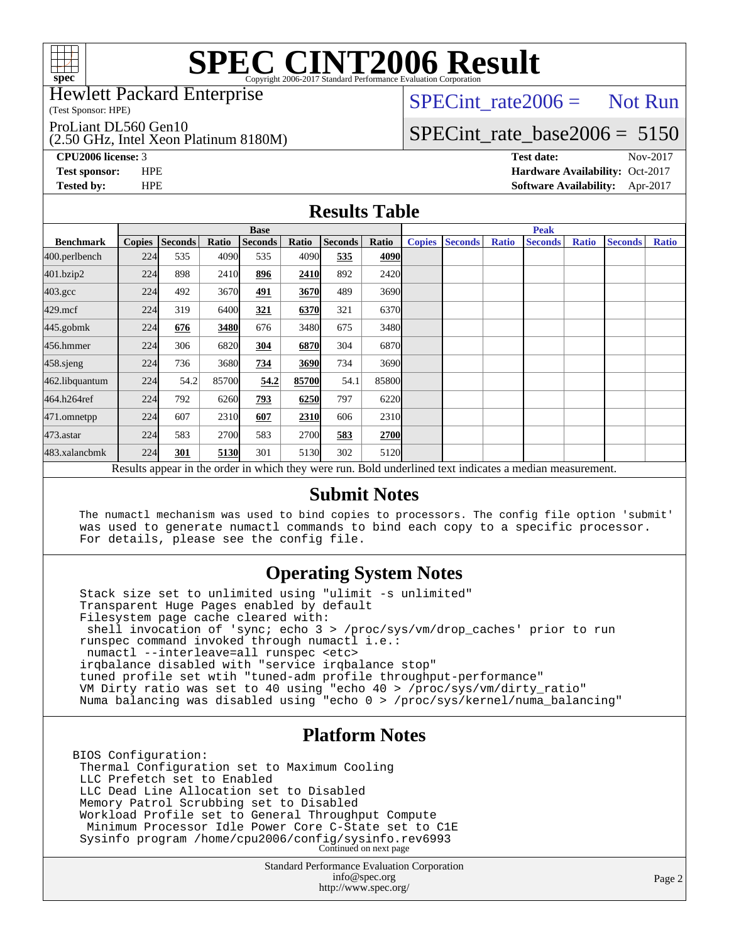

Hewlett Packard Enterprise

(Test Sponsor: HPE)

ProLiant DL560 Gen10

(2.50 GHz, Intel Xeon Platinum 8180M)

 $SPECTnt_rate2006 = Not Run$ 

## [SPECint\\_rate\\_base2006 =](http://www.spec.org/auto/cpu2006/Docs/result-fields.html#SPECintratebase2006) 5150

**[CPU2006 license:](http://www.spec.org/auto/cpu2006/Docs/result-fields.html#CPU2006license)** 3 **[Test date:](http://www.spec.org/auto/cpu2006/Docs/result-fields.html#Testdate)** Nov-2017 **[Test sponsor:](http://www.spec.org/auto/cpu2006/Docs/result-fields.html#Testsponsor)** HPE **[Hardware Availability:](http://www.spec.org/auto/cpu2006/Docs/result-fields.html#HardwareAvailability)** Oct-2017 **[Tested by:](http://www.spec.org/auto/cpu2006/Docs/result-fields.html#Testedby)** HPE **[Software Availability:](http://www.spec.org/auto/cpu2006/Docs/result-fields.html#SoftwareAvailability)** Apr-2017

### **[Results Table](http://www.spec.org/auto/cpu2006/Docs/result-fields.html#ResultsTable)**

|                                                                                                          | <b>Base</b>   |                |       |                |       |                |       | <b>Peak</b>   |                |              |                |              |                |              |
|----------------------------------------------------------------------------------------------------------|---------------|----------------|-------|----------------|-------|----------------|-------|---------------|----------------|--------------|----------------|--------------|----------------|--------------|
| <b>Benchmark</b>                                                                                         | <b>Copies</b> | <b>Seconds</b> | Ratio | <b>Seconds</b> | Ratio | <b>Seconds</b> | Ratio | <b>Copies</b> | <b>Seconds</b> | <b>Ratio</b> | <b>Seconds</b> | <b>Ratio</b> | <b>Seconds</b> | <b>Ratio</b> |
| 400.perlbench                                                                                            | 224           | 535            | 4090  | 535            | 4090  | 535            | 4090  |               |                |              |                |              |                |              |
| 401.bzip2                                                                                                | 224           | 898            | 2410  | 896            | 2410  | 892            | 2420  |               |                |              |                |              |                |              |
| $403.\mathrm{gcc}$                                                                                       | 224           | 492            | 3670  | 491            | 3670  | 489            | 3690  |               |                |              |                |              |                |              |
| $429$ .mcf                                                                                               | 224           | 319            | 6400  | 321            | 6370  | 321            | 6370  |               |                |              |                |              |                |              |
| $445$ .gobm $k$                                                                                          | 224           | 676            | 3480  | 676            | 3480  | 675            | 3480l |               |                |              |                |              |                |              |
| 456.hmmer                                                                                                | 224           | 306            | 6820  | 304            | 6870  | 304            | 6870  |               |                |              |                |              |                |              |
| $458$ .sjeng                                                                                             | 224           | 736            | 3680  | 734            | 3690  | 734            | 3690  |               |                |              |                |              |                |              |
| 462.libquantum                                                                                           | 224           | 54.2           | 85700 | 54.2           | 85700 | 54.1           | 85800 |               |                |              |                |              |                |              |
| 464.h264ref                                                                                              | 224           | 792            | 6260  | 793            | 6250  | 797            | 6220  |               |                |              |                |              |                |              |
| 471.omnetpp                                                                                              | 224           | 607            | 2310  | 607            | 2310  | 606            | 2310  |               |                |              |                |              |                |              |
| $473$ . astar                                                                                            | 224           | 583            | 2700  | 583            | 2700  | 583            | 2700  |               |                |              |                |              |                |              |
| 483.xalancbmk                                                                                            | 224           | 301            | 5130  | 301            | 5130  | 302            | 5120  |               |                |              |                |              |                |              |
| Results appear in the order in which they were run. Bold underlined text indicates a median measurement. |               |                |       |                |       |                |       |               |                |              |                |              |                |              |

#### **[Submit Notes](http://www.spec.org/auto/cpu2006/Docs/result-fields.html#SubmitNotes)**

 The numactl mechanism was used to bind copies to processors. The config file option 'submit' was used to generate numactl commands to bind each copy to a specific processor. For details, please see the config file.

### **[Operating System Notes](http://www.spec.org/auto/cpu2006/Docs/result-fields.html#OperatingSystemNotes)**

 Stack size set to unlimited using "ulimit -s unlimited" Transparent Huge Pages enabled by default Filesystem page cache cleared with: shell invocation of 'sync; echo 3 > /proc/sys/vm/drop\_caches' prior to run runspec command invoked through numactl i.e.: numactl --interleave=all runspec <etc> irqbalance disabled with "service irqbalance stop" tuned profile set wtih "tuned-adm profile throughput-performance" VM Dirty ratio was set to 40 using "echo 40 > /proc/sys/vm/dirty\_ratio" Numa balancing was disabled using "echo 0 > /proc/sys/kernel/numa\_balancing"

### **[Platform Notes](http://www.spec.org/auto/cpu2006/Docs/result-fields.html#PlatformNotes)**

BIOS Configuration: Thermal Configuration set to Maximum Cooling LLC Prefetch set to Enabled LLC Dead Line Allocation set to Disabled Memory Patrol Scrubbing set to Disabled Workload Profile set to General Throughput Compute Minimum Processor Idle Power Core C-State set to C1E Sysinfo program /home/cpu2006/config/sysinfo.rev6993 Continued on next page

> Standard Performance Evaluation Corporation [info@spec.org](mailto:info@spec.org) <http://www.spec.org/>

Page 2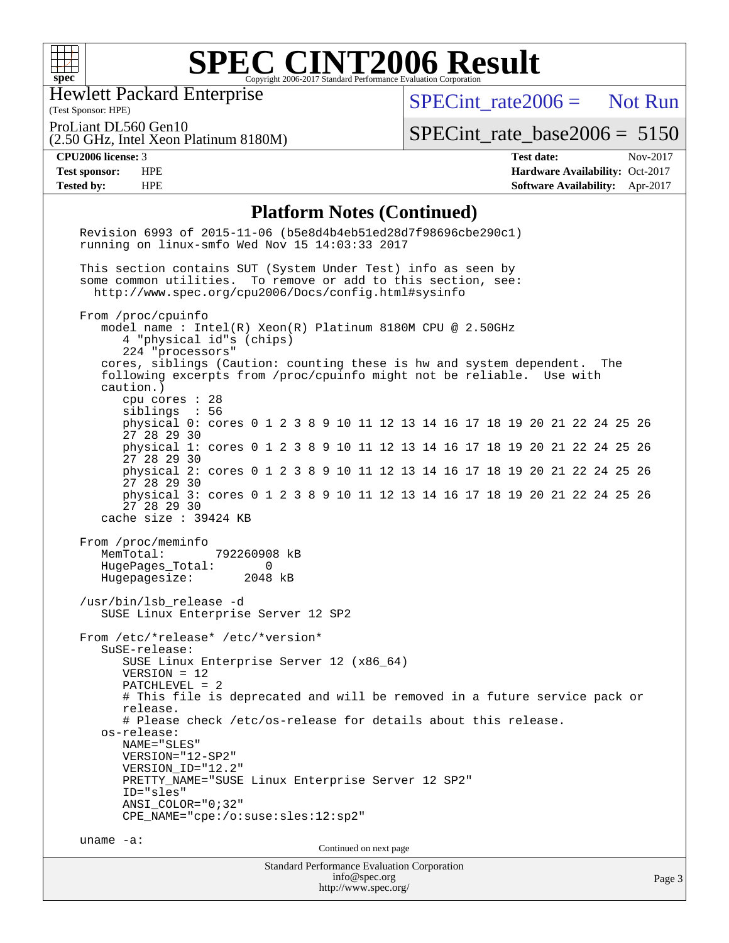

Hewlett Packard Enterprise

(Test Sponsor: HPE)

[SPECint\\_rate2006 =](http://www.spec.org/auto/cpu2006/Docs/result-fields.html#SPECintrate2006) Not Run

ProLiant DL560 Gen10

[SPECint\\_rate\\_base2006 =](http://www.spec.org/auto/cpu2006/Docs/result-fields.html#SPECintratebase2006) 5150

(2.50 GHz, Intel Xeon Platinum 8180M)

**[CPU2006 license:](http://www.spec.org/auto/cpu2006/Docs/result-fields.html#CPU2006license)** 3 **[Test date:](http://www.spec.org/auto/cpu2006/Docs/result-fields.html#Testdate)** Nov-2017 **[Test sponsor:](http://www.spec.org/auto/cpu2006/Docs/result-fields.html#Testsponsor)** HPE **[Hardware Availability:](http://www.spec.org/auto/cpu2006/Docs/result-fields.html#HardwareAvailability)** Oct-2017 **[Tested by:](http://www.spec.org/auto/cpu2006/Docs/result-fields.html#Testedby)** HPE **[Software Availability:](http://www.spec.org/auto/cpu2006/Docs/result-fields.html#SoftwareAvailability)** Apr-2017

#### **[Platform Notes \(Continued\)](http://www.spec.org/auto/cpu2006/Docs/result-fields.html#PlatformNotes)**

| $\blacksquare$ introduced (continue<br>Revision 6993 of 2015-11-06 (b5e8d4b4eb51ed28d7f98696cbe290c1)<br>running on linux-smfo Wed Nov 15 14:03:33 2017                                                                                                                                                                                                                                                                                                                                                                                                                                                                                                      |        |
|--------------------------------------------------------------------------------------------------------------------------------------------------------------------------------------------------------------------------------------------------------------------------------------------------------------------------------------------------------------------------------------------------------------------------------------------------------------------------------------------------------------------------------------------------------------------------------------------------------------------------------------------------------------|--------|
| This section contains SUT (System Under Test) info as seen by<br>some common utilities. To remove or add to this section, see:<br>http://www.spec.org/cpu2006/Docs/config.html#sysinfo                                                                                                                                                                                                                                                                                                                                                                                                                                                                       |        |
| From /proc/cpuinfo<br>model name : Intel(R) Xeon(R) Platinum 8180M CPU @ 2.50GHz<br>4 "physical id"s (chips)<br>224 "processors"<br>cores, siblings (Caution: counting these is hw and system dependent.<br>The<br>following excerpts from /proc/cpuinfo might not be reliable. Use with<br>caution.)<br>cpu cores $: 28$<br>siblings : 56                                                                                                                                                                                                                                                                                                                   |        |
| physical 0: cores 0 1 2 3 8 9 10 11 12 13 14 16 17 18 19 20 21 22 24 25 26<br>27 28 29 30                                                                                                                                                                                                                                                                                                                                                                                                                                                                                                                                                                    |        |
| physical 1: cores 0 1 2 3 8 9 10 11 12 13 14 16 17 18 19 20 21 22 24 25 26<br>27 28 29 30                                                                                                                                                                                                                                                                                                                                                                                                                                                                                                                                                                    |        |
| physical 2: cores 0 1 2 3 8 9 10 11 12 13 14 16 17 18 19 20 21 22 24 25 26<br>27 28 29 30                                                                                                                                                                                                                                                                                                                                                                                                                                                                                                                                                                    |        |
| physical 3: cores 0 1 2 3 8 9 10 11 12 13 14 16 17 18 19 20 21 22 24 25 26<br>27 28 29 30<br>cache size : 39424 KB                                                                                                                                                                                                                                                                                                                                                                                                                                                                                                                                           |        |
| MemTotal:<br>792260908 kB<br>HugePages_Total:<br>$\Omega$<br>Hugepagesize: 2048 kB<br>/usr/bin/lsb_release -d<br>SUSE Linux Enterprise Server 12 SP2<br>From /etc/*release* /etc/*version*<br>SuSE-release:<br>SUSE Linux Enterprise Server 12 (x86_64)<br>$VERSION = 12$<br>$PATCHLEVEL = 2$<br># This file is deprecated and will be removed in a future service pack or<br>release.<br># Please check /etc/os-release for details about this release.<br>os-release:<br>NAME="SLES"<br>VERSION="12-SP2"<br>VERSION_ID="12.2"<br>PRETTY_NAME="SUSE Linux Enterprise Server 12 SP2"<br>ID="sles"<br>ANSI COLOR="0;32"<br>CPE_NAME="cpe:/o:suse:sles:12:sp2" |        |
| uname $-a$ :<br>Continued on next page                                                                                                                                                                                                                                                                                                                                                                                                                                                                                                                                                                                                                       |        |
| <b>Standard Performance Evaluation Corporation</b><br>info@spec.org                                                                                                                                                                                                                                                                                                                                                                                                                                                                                                                                                                                          | Page 3 |

<http://www.spec.org/>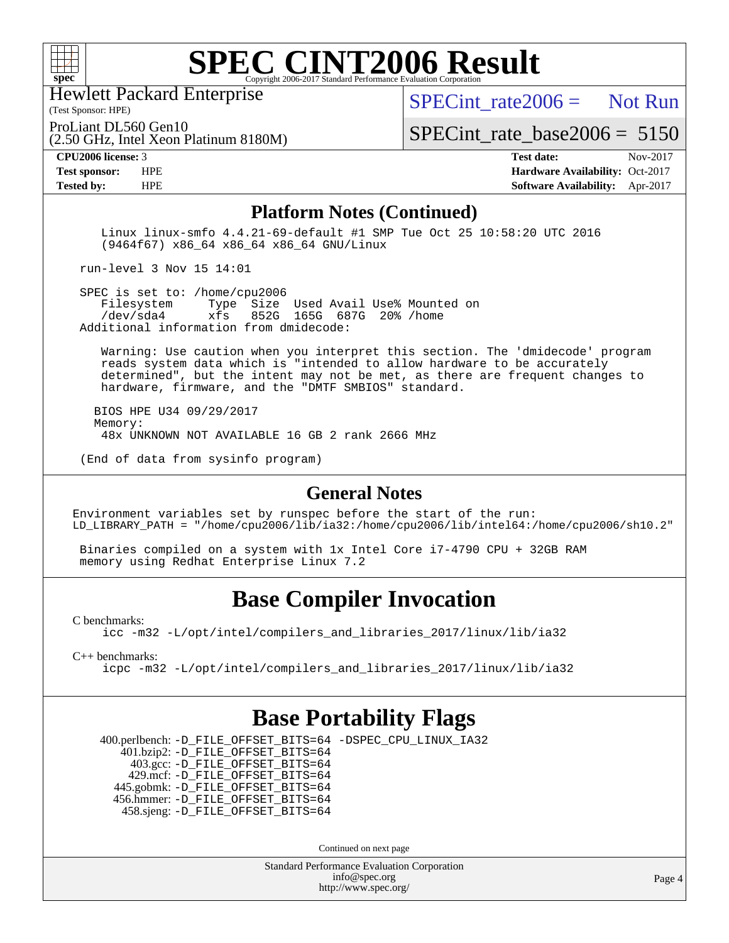

Hewlett Packard Enterprise

(2.50 GHz, Intel Xeon Platinum 8180M)

(Test Sponsor: HPE)

SPECint rate  $2006 =$  Not Run

ProLiant DL560 Gen10

[SPECint\\_rate\\_base2006 =](http://www.spec.org/auto/cpu2006/Docs/result-fields.html#SPECintratebase2006) 5150

**[CPU2006 license:](http://www.spec.org/auto/cpu2006/Docs/result-fields.html#CPU2006license)** 3 **[Test date:](http://www.spec.org/auto/cpu2006/Docs/result-fields.html#Testdate)** Nov-2017 **[Test sponsor:](http://www.spec.org/auto/cpu2006/Docs/result-fields.html#Testsponsor)** HPE **[Hardware Availability:](http://www.spec.org/auto/cpu2006/Docs/result-fields.html#HardwareAvailability)** Oct-2017 **[Tested by:](http://www.spec.org/auto/cpu2006/Docs/result-fields.html#Testedby)** HPE **[Software Availability:](http://www.spec.org/auto/cpu2006/Docs/result-fields.html#SoftwareAvailability)** Apr-2017

#### **[Platform Notes \(Continued\)](http://www.spec.org/auto/cpu2006/Docs/result-fields.html#PlatformNotes)**

 Linux linux-smfo 4.4.21-69-default #1 SMP Tue Oct 25 10:58:20 UTC 2016 (9464f67) x86\_64 x86\_64 x86\_64 GNU/Linux

run-level 3 Nov 15 14:01

SPEC is set to: /home/cpu2006<br>Filesystem Type Size Type Size Used Avail Use% Mounted on /dev/sda4 xfs 852G 165G 687G 20% /home Additional information from dmidecode:

 Warning: Use caution when you interpret this section. The 'dmidecode' program reads system data which is "intended to allow hardware to be accurately determined", but the intent may not be met, as there are frequent changes to hardware, firmware, and the "DMTF SMBIOS" standard.

 BIOS HPE U34 09/29/2017 Memory: 48x UNKNOWN NOT AVAILABLE 16 GB 2 rank 2666 MHz

(End of data from sysinfo program)

#### **[General Notes](http://www.spec.org/auto/cpu2006/Docs/result-fields.html#GeneralNotes)**

Environment variables set by runspec before the start of the run: LD\_LIBRARY\_PATH = "/home/cpu2006/lib/ia32:/home/cpu2006/lib/intel64:/home/cpu2006/sh10.2"

 Binaries compiled on a system with 1x Intel Core i7-4790 CPU + 32GB RAM memory using Redhat Enterprise Linux 7.2

## **[Base Compiler Invocation](http://www.spec.org/auto/cpu2006/Docs/result-fields.html#BaseCompilerInvocation)**

[C benchmarks](http://www.spec.org/auto/cpu2006/Docs/result-fields.html#Cbenchmarks):

[icc -m32 -L/opt/intel/compilers\\_and\\_libraries\\_2017/linux/lib/ia32](http://www.spec.org/cpu2006/results/res2017q4/cpu2006-20171128-50817.flags.html#user_CCbase_intel_icc_c29f3ff5a7ed067b11e4ec10a03f03ae)

[C++ benchmarks:](http://www.spec.org/auto/cpu2006/Docs/result-fields.html#CXXbenchmarks)

[icpc -m32 -L/opt/intel/compilers\\_and\\_libraries\\_2017/linux/lib/ia32](http://www.spec.org/cpu2006/results/res2017q4/cpu2006-20171128-50817.flags.html#user_CXXbase_intel_icpc_8c35c7808b62dab9ae41a1aa06361b6b)

## **[Base Portability Flags](http://www.spec.org/auto/cpu2006/Docs/result-fields.html#BasePortabilityFlags)**

 400.perlbench: [-D\\_FILE\\_OFFSET\\_BITS=64](http://www.spec.org/cpu2006/results/res2017q4/cpu2006-20171128-50817.flags.html#user_basePORTABILITY400_perlbench_file_offset_bits_64_438cf9856305ebd76870a2c6dc2689ab) [-DSPEC\\_CPU\\_LINUX\\_IA32](http://www.spec.org/cpu2006/results/res2017q4/cpu2006-20171128-50817.flags.html#b400.perlbench_baseCPORTABILITY_DSPEC_CPU_LINUX_IA32) 401.bzip2: [-D\\_FILE\\_OFFSET\\_BITS=64](http://www.spec.org/cpu2006/results/res2017q4/cpu2006-20171128-50817.flags.html#user_basePORTABILITY401_bzip2_file_offset_bits_64_438cf9856305ebd76870a2c6dc2689ab) 403.gcc: [-D\\_FILE\\_OFFSET\\_BITS=64](http://www.spec.org/cpu2006/results/res2017q4/cpu2006-20171128-50817.flags.html#user_basePORTABILITY403_gcc_file_offset_bits_64_438cf9856305ebd76870a2c6dc2689ab) 429.mcf: [-D\\_FILE\\_OFFSET\\_BITS=64](http://www.spec.org/cpu2006/results/res2017q4/cpu2006-20171128-50817.flags.html#user_basePORTABILITY429_mcf_file_offset_bits_64_438cf9856305ebd76870a2c6dc2689ab) 445.gobmk: [-D\\_FILE\\_OFFSET\\_BITS=64](http://www.spec.org/cpu2006/results/res2017q4/cpu2006-20171128-50817.flags.html#user_basePORTABILITY445_gobmk_file_offset_bits_64_438cf9856305ebd76870a2c6dc2689ab) 456.hmmer: [-D\\_FILE\\_OFFSET\\_BITS=64](http://www.spec.org/cpu2006/results/res2017q4/cpu2006-20171128-50817.flags.html#user_basePORTABILITY456_hmmer_file_offset_bits_64_438cf9856305ebd76870a2c6dc2689ab) 458.sjeng: [-D\\_FILE\\_OFFSET\\_BITS=64](http://www.spec.org/cpu2006/results/res2017q4/cpu2006-20171128-50817.flags.html#user_basePORTABILITY458_sjeng_file_offset_bits_64_438cf9856305ebd76870a2c6dc2689ab)

Continued on next page

Standard Performance Evaluation Corporation [info@spec.org](mailto:info@spec.org) <http://www.spec.org/>

Page 4